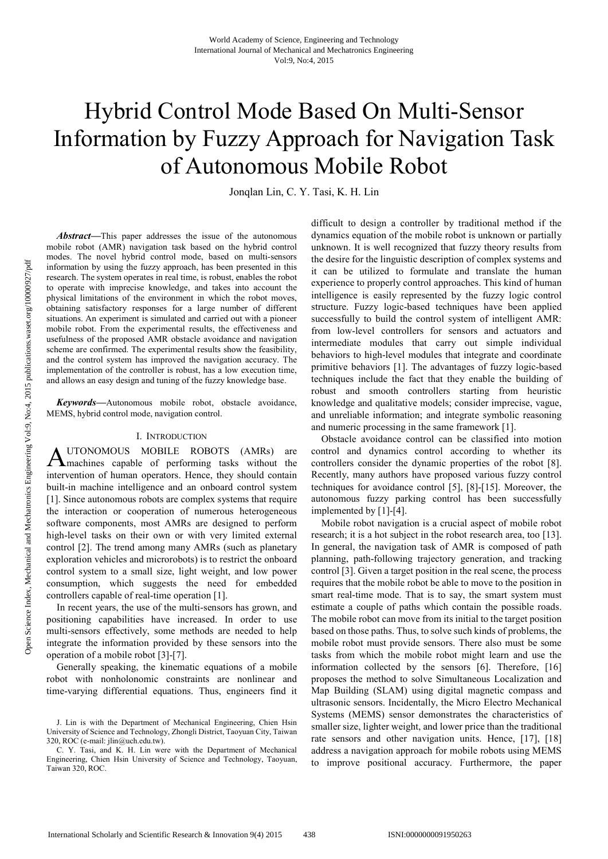# Hybrid Control Mode Based On Multi-Sensor Information by Fuzzy Approach for Navigation Task of Autonomous Mobile Robot

Jonqlan Lin, C. Y. Tasi, K. H. Lin

*Abstract***—**This paper addresses the issue of the autonomous mobile robot (AMR) navigation task based on the hybrid control modes. The novel hybrid control mode, based on multi-sensors information by using the fuzzy approach, has been presented in this research. The system operates in real time, is robust, enables the robot to operate with imprecise knowledge, and takes into account the physical limitations of the environment in which the robot moves, obtaining satisfactory responses for a large number of different situations. An experiment is simulated and carried out with a pioneer mobile robot. From the experimental results, the effectiveness and usefulness of the proposed AMR obstacle avoidance and navigation scheme are confirmed. The experimental results show the feasibility, and the control system has improved the navigation accuracy. The implementation of the controller is robust, has a low execution time, and allows an easy design and tuning of the fuzzy knowledge base.

*Keywords***—**Autonomous mobile robot, obstacle avoidance, MEMS, hybrid control mode, navigation control.

#### I. INTRODUCTION

UTONOMOUS MOBILE ROBOTS (AMRs) are AUTONOMOUS MOBILE ROBOTS (AMRs) are<br>
machines capable of performing tasks without the intervention of human operators. Hence, they should contain built-in machine intelligence and an onboard control system [1]. Since autonomous robots are complex systems that require the interaction or cooperation of numerous heterogeneous software components, most AMRs are designed to perform high-level tasks on their own or with very limited external control [2]. The trend among many AMRs (such as planetary exploration vehicles and microrobots) is to restrict the onboard control system to a small size, light weight, and low power consumption, which suggests the need for embedded controllers capable of real-time operation [1].

In recent years, the use of the multi-sensors has grown, and positioning capabilities have increased. In order to use multi-sensors effectively, some methods are needed to help integrate the information provided by these sensors into the operation of a mobile robot [3]-[7].

Generally speaking, the kinematic equations of a mobile robot with nonholonomic constraints are nonlinear and time-varying differential equations. Thus, engineers find it difficult to design a controller by traditional method if the dynamics equation of the mobile robot is unknown or partially unknown. It is well recognized that fuzzy theory results from the desire for the linguistic description of complex systems and it can be utilized to formulate and translate the human experience to properly control approaches. This kind of human intelligence is easily represented by the fuzzy logic control structure. Fuzzy logic-based techniques have been applied successfully to build the control system of intelligent AMR: from low-level controllers for sensors and actuators and intermediate modules that carry out simple individual behaviors to high-level modules that integrate and coordinate primitive behaviors [1]. The advantages of fuzzy logic-based techniques include the fact that they enable the building of robust and smooth controllers starting from heuristic knowledge and qualitative models; consider imprecise, vague, and unreliable information; and integrate symbolic reasoning and numeric processing in the same framework [1].

Obstacle avoidance control can be classified into motion control and dynamics control according to whether its controllers consider the dynamic properties of the robot [8]. Recently, many authors have proposed various fuzzy control techniques for avoidance control [5], [8]-[15]. Moreover, the autonomous fuzzy parking control has been successfully implemented by [1]-[4].

Mobile robot navigation is a crucial aspect of mobile robot research; it is a hot subject in the robot research area, too [13]. In general, the navigation task of AMR is composed of path planning, path-following trajectory generation, and tracking control [3]. Given a target position in the real scene, the process requires that the mobile robot be able to move to the position in smart real-time mode. That is to say, the smart system must estimate a couple of paths which contain the possible roads. The mobile robot can move from its initial to the target position based on those paths. Thus, to solve such kinds of problems, the mobile robot must provide sensors. There also must be some tasks from which the mobile robot might learn and use the information collected by the sensors [6]. Therefore, [16] proposes the method to solve Simultaneous Localization and Map Building (SLAM) using digital magnetic compass and ultrasonic sensors. Incidentally, the Micro Electro Mechanical Systems (MEMS) sensor demonstrates the characteristics of smaller size, lighter weight, and lower price than the traditional rate sensors and other navigation units. Hence, [17], [18] address a navigation approach for mobile robots using MEMS to improve positional accuracy. Furthermore, the paper

J. Lin is with the Department of Mechanical Engineering, Chien Hsin University of Science and Technology, Zhongli District, Taoyuan City, Taiwan 320, ROC (e-mail: jlin@uch.edu.tw).

C. Y. Tasi, and K. H. Lin were with the Department of Mechanical Engineering, Chien Hsin University of Science and Technology, Taoyuan, Taiwan 320, ROC.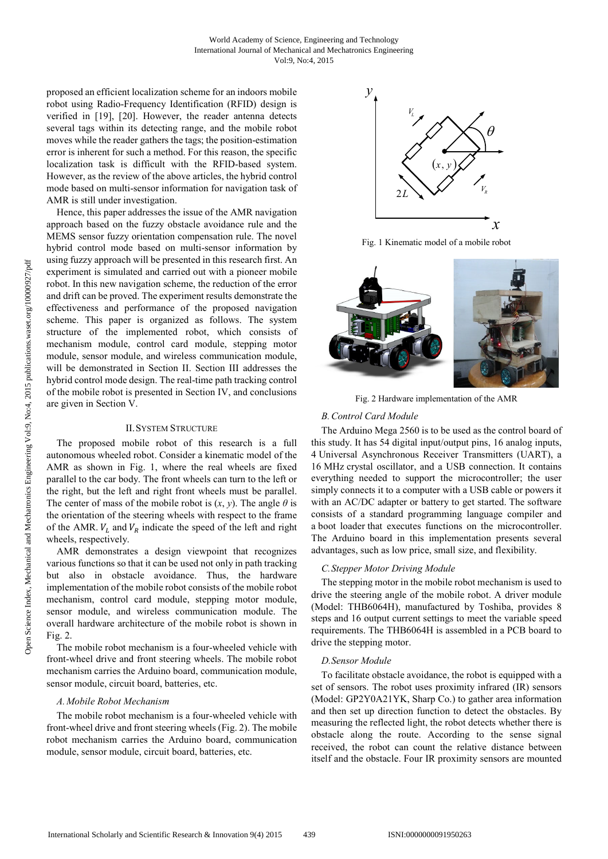proposed an efficient localization scheme for an indoors mobile robot using Radio-Frequency Identification (RFID) design is verified in [19], [20]. However, the reader antenna detects several tags within its detecting range, and the mobile robot moves while the reader gathers the tags; the position-estimation error is inherent for such a method. For this reason, the specific localization task is difficult with the RFID-based system. However, as the review of the above articles, the hybrid control mode based on multi-sensor information for navigation task of AMR is still under investigation.

Hence, this paper addresses the issue of the AMR navigation approach based on the fuzzy obstacle avoidance rule and the MEMS sensor fuzzy orientation compensation rule. The novel hybrid control mode based on multi-sensor information by using fuzzy approach will be presented in this research first. An experiment is simulated and carried out with a pioneer mobile robot. In this new navigation scheme, the reduction of the error and drift can be proved. The experiment results demonstrate the effectiveness and performance of the proposed navigation scheme. This paper is organized as follows. The system structure of the implemented robot, which consists of mechanism module, control card module, stepping motor module, sensor module, and wireless communication module, will be demonstrated in Section II. Section III addresses the hybrid control mode design. The real-time path tracking control of the mobile robot is presented in Section IV, and conclusions are given in Section V.

#### II.SYSTEM STRUCTURE

The proposed mobile robot of this research is a full autonomous wheeled robot. Consider a kinematic model of the AMR as shown in Fig. 1, where the real wheels are fixed parallel to the car body. The front wheels can turn to the left or the right, but the left and right front wheels must be parallel. The center of mass of the mobile robot is  $(x, y)$ . The angle  $\theta$  is the orientation of the steering wheels with respect to the frame of the AMR.  $V_L$  and  $V_R$  indicate the speed of the left and right wheels, respectively.

AMR demonstrates a design viewpoint that recognizes various functions so that it can be used not only in path tracking but also in obstacle avoidance. Thus, the hardware implementation of the mobile robot consists of the mobile robot mechanism, control card module, stepping motor module, sensor module, and wireless communication module. The overall hardware architecture of the mobile robot is shown in Fig. 2.

The mobile robot mechanism is a four-wheeled vehicle with front-wheel drive and front steering wheels. The mobile robot mechanism carries the Arduino board, communication module, sensor module, circuit board, batteries, etc.

## *A. Mobile Robot Mechanism*

The mobile robot mechanism is a four-wheeled vehicle with front-wheel drive and front steering wheels (Fig. 2). The mobile robot mechanism carries the Arduino board, communication module, sensor module, circuit board, batteries, etc.



Fig. 1 Kinematic model of a mobile robot



Fig. 2 Hardware implementation of the AMR

## *B.Control Card Module*

The Arduino Mega 2560 is to be used as the control board of this study. It has 54 digital input/output pins, 16 analog inputs, 4 Universal Asynchronous Receiver Transmitters (UART), a 16 MHz crystal oscillator, and a USB connection. It contains everything needed to support the microcontroller; the user simply connects it to a computer with a USB cable or powers it with an AC/DC adapter or battery to get started. The software consists of a standard programming language compiler and a boot loader that executes functions on the microcontroller. The Arduino board in this implementation presents several advantages, such as low price, small size, and flexibility.

### *C.Stepper Motor Driving Module*

The stepping motor in the mobile robot mechanism is used to drive the steering angle of the mobile robot. A driver module (Model: THB6064H), manufactured by Toshiba, provides 8 steps and 16 output current settings to meet the variable speed requirements. The THB6064H is assembled in a PCB board to drive the stepping motor.

#### *D.Sensor Module*

To facilitate obstacle avoidance, the robot is equipped with a set of sensors. The robot uses proximity infrared (IR) sensors (Model: GP2Y0A21YK, Sharp Co.) to gather area information and then set up direction function to detect the obstacles. By measuring the reflected light, the robot detects whether there is obstacle along the route. According to the sense signal received, the robot can count the relative distance between itself and the obstacle. Four IR proximity sensors are mounted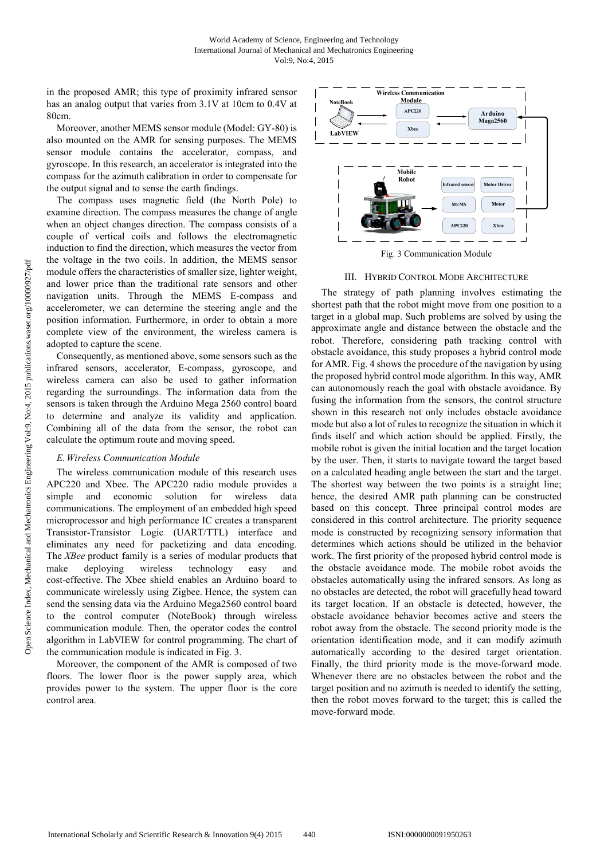in the proposed AMR; this type of proximity infrared sensor has an analog output that varies from 3.1V at 10cm to 0.4V at 80cm.

Moreover, another MEMS sensor module (Model: GY-80) is also mounted on the AMR for sensing purposes. The MEMS sensor module contains the accelerator, compass, and gyroscope. In this research, an accelerator is integrated into the compass for the azimuth calibration in order to compensate for the output signal and to sense the earth findings.

The compass uses magnetic field (the North Pole) to examine direction. The compass measures the change of angle when an object changes direction. The compass consists of a couple of vertical coils and follows the electromagnetic induction to find the direction, which measures the vector from the voltage in the two coils. In addition, the MEMS sensor module offers the characteristics of smaller size, lighter weight, and lower price than the traditional rate sensors and other navigation units. Through the MEMS E-compass and accelerometer, we can determine the steering angle and the position information. Furthermore, in order to obtain a more complete view of the environment, the wireless camera is adopted to capture the scene.

Consequently, as mentioned above, some sensors such as the infrared sensors, accelerator, E-compass, gyroscope, and wireless camera can also be used to gather information regarding the surroundings. The information data from the sensors is taken through the Arduino Mega 2560 control board to determine and analyze its validity and application. Combining all of the data from the sensor, the robot can calculate the optimum route and moving speed.

### *E. Wireless Communication Module*

The wireless communication module of this research uses APC220 and Xbee. The APC220 radio module provides a simple and economic solution for wireless data communications. The employment of an embedded high speed microprocessor and high performance IC creates a transparent Transistor-Transistor Logic (UART/TTL) interface and eliminates any need for packetizing and data encoding. The *XBee* product family is a series of modular products that make deploying wireless technology easy and cost-effective. The Xbee shield enables an Arduino board to communicate wirelessly using Zigbee. Hence, the system can send the sensing data via the Arduino Mega2560 control board to the control computer (NoteBook) through wireless communication module. Then, the operator codes the control algorithm in LabVIEW for control programming. The chart of the communication module is indicated in Fig. 3.

Moreover, the component of the AMR is composed of two floors. The lower floor is the power supply area, which provides power to the system. The upper floor is the core control area.



Fig. 3 Communication Module

#### III. HYBRID CONTROL MODE ARCHITECTURE

The strategy of path planning involves estimating the shortest path that the robot might move from one position to a target in a global map. Such problems are solved by using the approximate angle and distance between the obstacle and the robot. Therefore, considering path tracking control with obstacle avoidance, this study proposes a hybrid control mode for AMR. Fig. 4 shows the procedure of the navigation by using the proposed hybrid control mode algorithm. In this way, AMR can autonomously reach the goal with obstacle avoidance. By fusing the information from the sensors, the control structure shown in this research not only includes obstacle avoidance mode but also a lot of rules to recognize the situation in which it finds itself and which action should be applied. Firstly, the mobile robot is given the initial location and the target location by the user. Then, it starts to navigate toward the target based on a calculated heading angle between the start and the target. The shortest way between the two points is a straight line; hence, the desired AMR path planning can be constructed based on this concept. Three principal control modes are considered in this control architecture. The priority sequence mode is constructed by recognizing sensory information that determines which actions should be utilized in the behavior work. The first priority of the proposed hybrid control mode is the obstacle avoidance mode. The mobile robot avoids the obstacles automatically using the infrared sensors. As long as no obstacles are detected, the robot will gracefully head toward its target location. If an obstacle is detected, however, the obstacle avoidance behavior becomes active and steers the robot away from the obstacle. The second priority mode is the orientation identification mode, and it can modify azimuth automatically according to the desired target orientation. Finally, the third priority mode is the move-forward mode. Whenever there are no obstacles between the robot and the target position and no azimuth is needed to identify the setting, then the robot moves forward to the target; this is called the move-forward mode.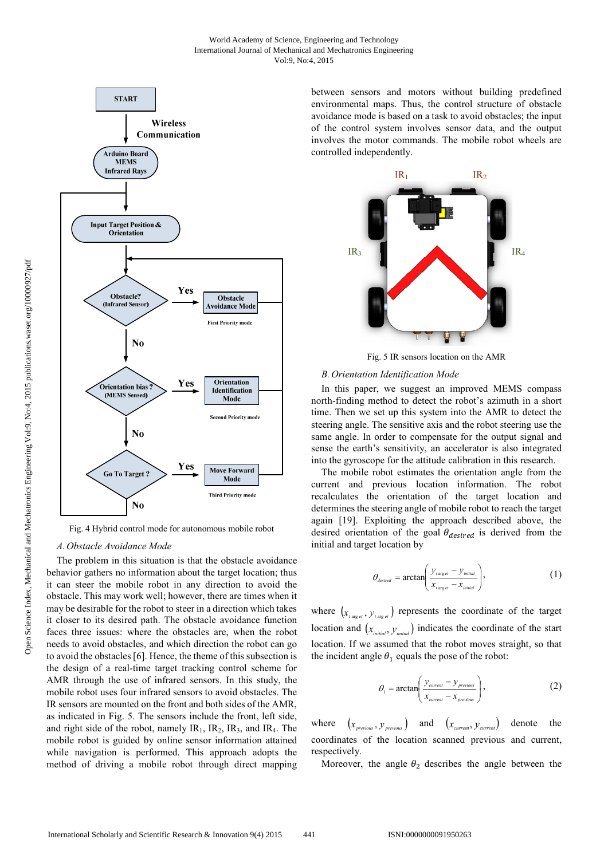

Fig. 4 Hybrid control mode for autonomous mobile robot

#### *A. Obstacle Avoidance Mode*

The problem in this situation is that the obstacle avoidance behavior gathers no information about the target location; thus it can steer the mobile robot in any direction to avoid the obstacle. This may work well; however, there are times when it may be desirable for the robot to steer in a direction which takes it closer to its desired path. The obstacle avoidance function faces three issues: where the obstacles are, when the robot needs to avoid obstacles, and which direction the robot can go to avoid the obstacles [6]. Hence, the theme of this subsection is the design of a real-time target tracking control scheme for AMR through the use of infrared sensors. In this study, the mobile robot uses four infrared sensors to avoid obstacles. The IR sensors are mounted on the front and both sides of the AMR, as indicated in Fig. 5. The sensors include the front, left side, and right side of the robot, namely  $IR_1$ ,  $IR_2$ ,  $IR_3$ , and  $IR_4$ . The mobile robot is guided by online sensor information attained while navigation is performed. This approach adopts the method of driving a mobile robot through direct mapping between sensors and motors without building predefined environmental maps. Thus, the control structure of obstacle avoidance mode is based on a task to avoid obstacles; the input of the control system involves sensor data, and the output involves the motor commands. The mobile robot wheels are controlled independently.



Fig. 5 IR sensors location on the AMR

## *B. Orientation Identification Mode*

In this paper, we suggest an improved MEMS compass north-finding method to detect the robot's azimuth in a short time. Then we set up this system into the AMR to detect the steering angle. The sensitive axis and the robot steering use the same angle. In order to compensate for the output signal and sense the earth's sensitivity, an accelerator is also integrated into the gyroscope for the attitude calibration in this research.

The mobile robot estimates the orientation angle from the current and previous location information. The robot recalculates the orientation of the target location and determines the steering angle of mobile robot to reach the target again [19]. Exploiting the approach described above, the desired orientation of the goal  $\theta_{desired}$  is derived from the initial and target location by

$$
\theta_{\text{desired}} = \arctan\left(\frac{y_{\text{target}} - y_{\text{initial}}}{x_{\text{target}} - x_{\text{initial}}}\right),\tag{1}
$$

where  $(x_{\text{target}}, y_{\text{target}})$  represents the coordinate of the target location and  $(x_{initial}, y_{initial})$  indicates the coordinate of the start location. If we assumed that the robot moves straight, so that the incident angle  $\theta_1$  equals the pose of the robot:

$$
\theta_{1} = \arctan\left(\frac{y_{\text{current}} - y_{\text{previous}}}{x_{\text{current}} - x_{\text{previous}}}\right),\tag{2}
$$

where  $(x_{previous}, y_{previous})$  and  $(x_{current}, y_{current})$  denote the coordinates of the location scanned previous and current, respectively.

Moreover, the angle  $\theta_2$  describes the angle between the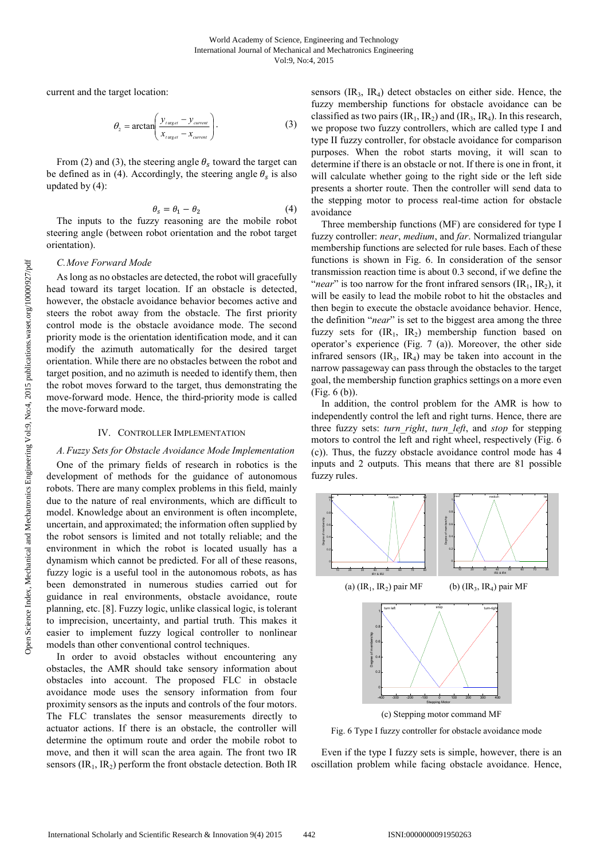current and the target location:

$$
\theta_2 = \arctan\left(\frac{y_{\text{target}} - y_{\text{current}}}{x_{\text{target}} - x_{\text{current}}}\right). \tag{3}
$$

From (2) and (3), the steering angle  $\theta_s$  toward the target can be defined as in (4). Accordingly, the steering angle  $\theta_s$  is also updated by (4):

$$
\theta_s = \theta_1 - \theta_2 \tag{4}
$$

The inputs to the fuzzy reasoning are the mobile robot steering angle (between robot orientation and the robot target orientation).

#### *C.Move Forward Mode*

As long as no obstacles are detected, the robot will gracefully head toward its target location. If an obstacle is detected, however, the obstacle avoidance behavior becomes active and steers the robot away from the obstacle. The first priority control mode is the obstacle avoidance mode. The second priority mode is the orientation identification mode, and it can modify the azimuth automatically for the desired target orientation. While there are no obstacles between the robot and target position, and no azimuth is needed to identify them, then the robot moves forward to the target, thus demonstrating the move-forward mode. Hence, the third-priority mode is called the move-forward mode.

## IV. CONTROLLER IMPLEMENTATION

#### *A.Fuzzy Sets for Obstacle Avoidance Mode Implementation*

One of the primary fields of research in robotics is the development of methods for the guidance of autonomous robots. There are many complex problems in this field, mainly due to the nature of real environments, which are difficult to model. Knowledge about an environment is often incomplete, uncertain, and approximated; the information often supplied by the robot sensors is limited and not totally reliable; and the environment in which the robot is located usually has a dynamism which cannot be predicted. For all of these reasons, fuzzy logic is a useful tool in the autonomous robots, as has been demonstrated in numerous studies carried out for guidance in real environments, obstacle avoidance, route planning, etc. [8]. Fuzzy logic, unlike classical logic, is tolerant to imprecision, uncertainty, and partial truth. This makes it easier to implement fuzzy logical controller to nonlinear models than other conventional control techniques.

In order to avoid obstacles without encountering any obstacles, the AMR should take sensory information about obstacles into account. The proposed FLC in obstacle avoidance mode uses the sensory information from four proximity sensors as the inputs and controls of the four motors. The FLC translates the sensor measurements directly to actuator actions. If there is an obstacle, the controller will determine the optimum route and order the mobile robot to move, and then it will scan the area again. The front two IR sensors  $(IR<sub>1</sub>, IR<sub>2</sub>)$  perform the front obstacle detection. Both IR

sensors  $\text{(IR}_3, \text{IR}_4)$  detect obstacles on either side. Hence, the fuzzy membership functions for obstacle avoidance can be classified as two pairs  $(IR_1, IR_2)$  and  $(IR_3, IR_4)$ . In this research, we propose two fuzzy controllers, which are called type I and type II fuzzy controller, for obstacle avoidance for comparison purposes. When the robot starts moving, it will scan to determine if there is an obstacle or not. If there is one in front, it will calculate whether going to the right side or the left side presents a shorter route. Then the controller will send data to the stepping motor to process real-time action for obstacle avoidance

Three membership functions (MF) are considered for type I fuzzy controller: *near*, *medium*, and *far*. Normalized triangular membership functions are selected for rule bases. Each of these functions is shown in Fig. 6. In consideration of the sensor transmission reaction time is about 0.3 second, if we define the "*near*" is too narrow for the front infrared sensors  $(IR<sub>1</sub>, IR<sub>2</sub>)$ , it will be easily to lead the mobile robot to hit the obstacles and then begin to execute the obstacle avoidance behavior. Hence, the definition "*near*" is set to the biggest area among the three fuzzy sets for  $(IR_1, IR_2)$  membership function based on operator's experience (Fig. 7 (a)). Moreover, the other side infrared sensors  $\text{(IR}_3, \text{IR}_4)$  may be taken into account in the narrow passageway can pass through the obstacles to the target goal, the membership function graphics settings on a more even (Fig. 6 (b)).

In addition, the control problem for the AMR is how to independently control the left and right turns. Hence, there are three fuzzy sets: *turn\_right*, *turn\_left*, and *stop* for stepping motors to control the left and right wheel, respectively (Fig. 6 (c)). Thus, the fuzzy obstacle avoidance control mode has 4 inputs and 2 outputs. This means that there are 81 possible fuzzy rules.



Fig. 6 Type I fuzzy controller for obstacle avoidance mode

Even if the type I fuzzy sets is simple, however, there is an oscillation problem while facing obstacle avoidance. Hence,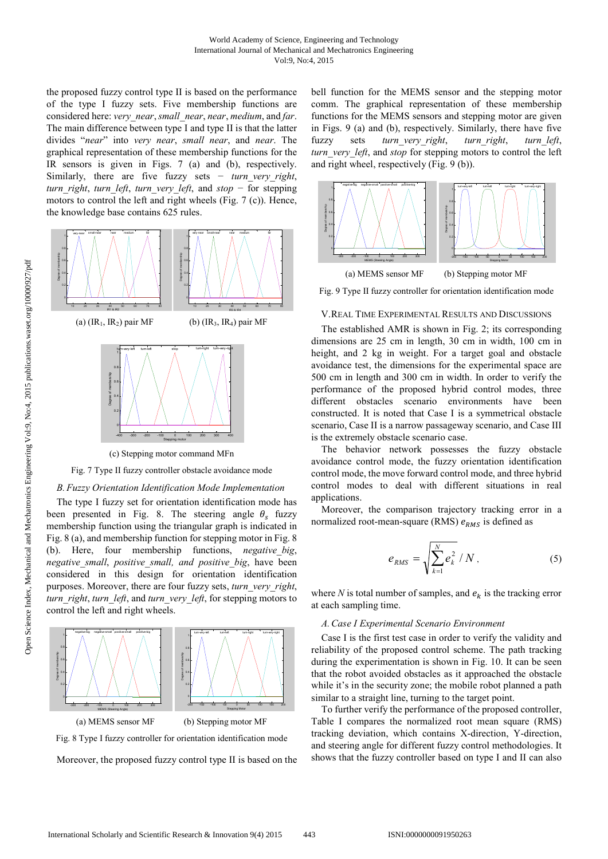the proposed fuzzy control type II is based on the performance of the type I fuzzy sets. Five membership functions are considered here: *very\_near*, *small\_near*, *near*, *medium*, and *far*. The main difference between type I and type II is that the latter divides "*near*" into *very near*, *small near*, and *near*. The graphical representation of these membership functions for the IR sensors is given in Figs. 7 (a) and (b), respectively. Similarly, there are five fuzzy sets − *turn very right*, *turn\_right*, *turn\_left*, *turn\_very\_left*, and *stop* − for stepping motors to control the left and right wheels (Fig. 7 (c)). Hence, the knowledge base contains 625 rules.



Fig. 7 Type II fuzzy controller obstacle avoidance mode

#### *B.Fuzzy Orientation Identification Mode Implementation*

The type I fuzzy set for orientation identification mode has been presented in Fig. 8. The steering angle  $\theta_s$  fuzzy membership function using the triangular graph is indicated in Fig. 8 (a), and membership function for stepping motor in Fig. 8 (b). Here, four membership functions, *negative\_big*, *negative\_small*, *positive\_small, and positive\_big*, have been considered in this design for orientation identification purposes. Moreover, there are four fuzzy sets, *turn\_very\_right*, *turn\_right*, *turn\_left*, and *turn\_very\_left*, for stepping motors to control the left and right wheels.





Moreover, the proposed fuzzy control type II is based on the

bell function for the MEMS sensor and the stepping motor comm. The graphical representation of these membership functions for the MEMS sensors and stepping motor are given in Figs. 9 (a) and (b), respectively. Similarly, there have five fuzzy sets *turn\_very\_right*, *turn\_right*, *turn\_left*, *turn* very left, and *stop* for stepping motors to control the left and right wheel, respectively (Fig. 9 (b)).



Fig. 9 Type II fuzzy controller for orientation identification mode

### V.REAL TIME EXPERIMENTAL RESULTS AND DISCUSSIONS

The established AMR is shown in Fig. 2; its corresponding dimensions are 25 cm in length, 30 cm in width, 100 cm in height, and 2 kg in weight. For a target goal and obstacle avoidance test, the dimensions for the experimental space are 500 cm in length and 300 cm in width. In order to verify the performance of the proposed hybrid control modes, three different obstacles scenario environments have been constructed. It is noted that Case I is a symmetrical obstacle scenario, Case II is a narrow passageway scenario, and Case III is the extremely obstacle scenario case.

The behavior network possesses the fuzzy obstacle avoidance control mode, the fuzzy orientation identification control mode, the move forward control mode, and three hybrid control modes to deal with different situations in real applications.

Moreover, the comparison trajectory tracking error in a normalized root-mean-square (RMS)  $e_{RMS}$  is defined as

$$
e_{RMS} = \sqrt{\sum_{k=1}^{N} e_k^2} / N, \qquad (5)
$$

where *N* is total number of samples, and  $e_k$  is the tracking error at each sampling time.

### *A.Case I Experimental Scenario Environment*

Case I is the first test case in order to verify the validity and reliability of the proposed control scheme. The path tracking during the experimentation is shown in Fig. 10. It can be seen that the robot avoided obstacles as it approached the obstacle while it's in the security zone; the mobile robot planned a path similar to a straight line, turning to the target point.

To further verify the performance of the proposed controller, Table I compares the normalized root mean square (RMS) tracking deviation, which contains X-direction, Y-direction, and steering angle for different fuzzy control methodologies. It shows that the fuzzy controller based on type I and II can also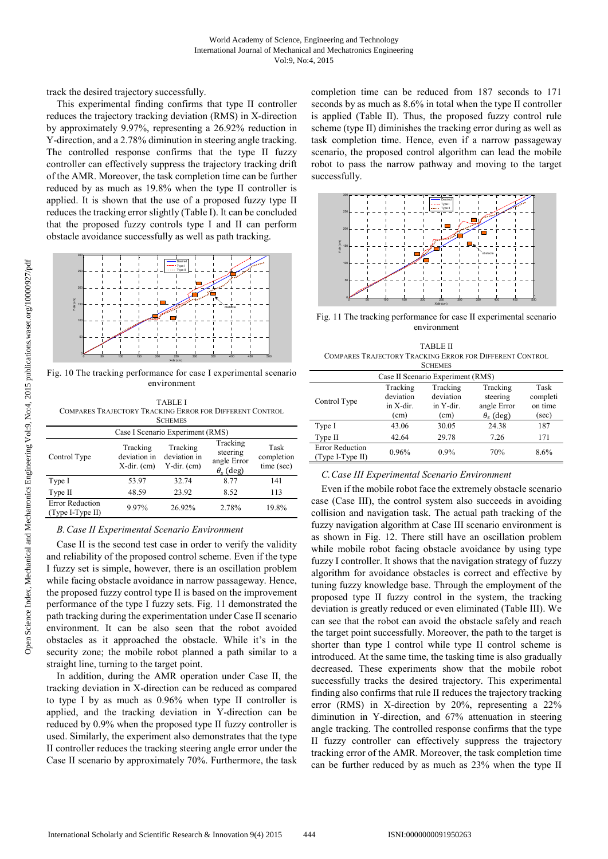track the desired trajectory successfully.

This experimental finding confirms that type II controller reduces the trajectory tracking deviation (RMS) in X-direction by approximately 9.97%, representing a 26.92% reduction in Y-direction, and a 2.78% diminution in steering angle tracking. The controlled response confirms that the type II fuzzy controller can effectively suppress the trajectory tracking drift of the AMR. Moreover, the task completion time can be further reduced by as much as 19.8% when the type II controller is applied. It is shown that the use of a proposed fuzzy type II reduces the tracking error slightly (Table I). It can be concluded that the proposed fuzzy controls type I and II can perform obstacle avoidance successfully as well as path tracking.



Fig. 10 The tracking performance for case I experimental scenario environment

| <b>TABLE I</b><br>COMPARES TRAJECTORY TRACKING ERROR FOR DIFFERENT CONTROL<br><b>SCHEMES</b><br>Case I Scenario Experiment (RMS) |       |        |       |       |  |  |
|----------------------------------------------------------------------------------------------------------------------------------|-------|--------|-------|-------|--|--|
|                                                                                                                                  |       |        |       |       |  |  |
| Type I                                                                                                                           | 53.97 | 32.74  | 8.77  | 141   |  |  |
| Type II                                                                                                                          | 48.59 | 23.92  | 8.52  | 113   |  |  |
| <b>Error Reduction</b><br>(Type I-Type II)                                                                                       | 9.97% | 26.92% | 2.78% | 19.8% |  |  |

### *B.Case II Experimental Scenario Environment*

Case II is the second test case in order to verify the validity and reliability of the proposed control scheme. Even if the type I fuzzy set is simple, however, there is an oscillation problem while facing obstacle avoidance in narrow passageway. Hence, the proposed fuzzy control type II is based on the improvement performance of the type I fuzzy sets. Fig. 11 demonstrated the path tracking during the experimentation under Case II scenario environment. It can be also seen that the robot avoided obstacles as it approached the obstacle. While it's in the security zone; the mobile robot planned a path similar to a straight line, turning to the target point.

In addition, during the AMR operation under Case II, the tracking deviation in X-direction can be reduced as compared to type I by as much as 0.96% when type II controller is applied, and the tracking deviation in Y-direction can be reduced by 0.9% when the proposed type II fuzzy controller is used. Similarly, the experiment also demonstrates that the type II controller reduces the tracking steering angle error under the Case II scenario by approximately 70%. Furthermore, the task completion time can be reduced from 187 seconds to 171 seconds by as much as 8.6% in total when the type II controller is applied (Table II). Thus, the proposed fuzzy control rule scheme (type II) diminishes the tracking error during as well as task completion time. Hence, even if a narrow passageway scenario, the proposed control algorithm can lead the mobile robot to pass the narrow pathway and moving to the target successfully.



Fig. 11 The tracking performance for case II experimental scenario environment

| <b>TABLE II</b>                                          |  |
|----------------------------------------------------------|--|
| COMPARES TRAJECTORY TRACKING ERROR FOR DIFFERENT CONTROL |  |
| <b>SCHEMES</b>                                           |  |

| OCHEMIES                                   |                                            |                                                           |                                      |  |  |  |
|--------------------------------------------|--------------------------------------------|-----------------------------------------------------------|--------------------------------------|--|--|--|
| Case II Scenario Experiment (RMS)          |                                            |                                                           |                                      |  |  |  |
| Tracking<br>deviation<br>in X-dir.<br>(cm) | Tracking<br>deviation<br>in Y-dir.<br>(cm) | Tracking<br>steering<br>angle Error<br>$\theta_{s}$ (deg) | Task<br>completi<br>on time<br>(sec) |  |  |  |
| 43.06                                      | 30.05                                      | 24.38                                                     | 187                                  |  |  |  |
| 42.64                                      | 29.78                                      | 7.26                                                      | 171                                  |  |  |  |
| 0.96%                                      | $0.9\%$                                    | 70%                                                       | 8.6%                                 |  |  |  |
|                                            |                                            |                                                           |                                      |  |  |  |

## *C.Case III Experimental Scenario Environment*

Even if the mobile robot face the extremely obstacle scenario case (Case III), the control system also succeeds in avoiding collision and navigation task. The actual path tracking of the fuzzy navigation algorithm at Case III scenario environment is as shown in Fig. 12. There still have an oscillation problem while mobile robot facing obstacle avoidance by using type fuzzy I controller. It shows that the navigation strategy of fuzzy algorithm for avoidance obstacles is correct and effective by tuning fuzzy knowledge base. Through the employment of the proposed type II fuzzy control in the system, the tracking deviation is greatly reduced or even eliminated (Table III). We can see that the robot can avoid the obstacle safely and reach the target point successfully. Moreover, the path to the target is shorter than type I control while type II control scheme is introduced. At the same time, the tasking time is also gradually decreased. These experiments show that the mobile robot successfully tracks the desired trajectory. This experimental finding also confirms that rule II reduces the trajectory tracking error (RMS) in X-direction by 20%, representing a 22% diminution in Y-direction, and 67% attenuation in steering angle tracking. The controlled response confirms that the type II fuzzy controller can effectively suppress the trajectory tracking error of the AMR. Moreover, the task completion time can be further reduced by as much as 23% when the type II